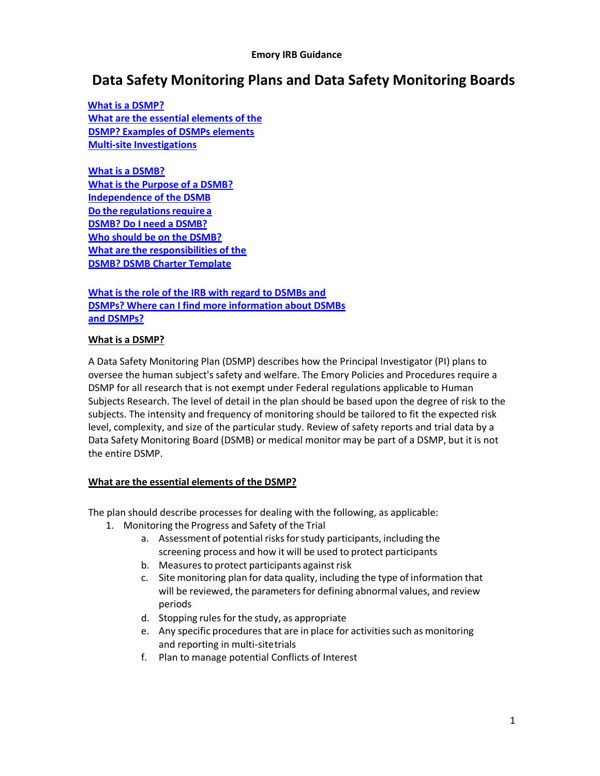#### **Emory IRB Guidance**

# **Data Safety Monitoring Plans and Data Safety Monitoring Boards**

 **What is [a DSMP?](#page-0-0) [What are the essential elements of the](#page-0-1)  [DSMP?](#page-0-1) [Examples of DSMPs elements](#page-1-0) Multi-site Investigations**

**[What is a DSMB?](#page-3-0) What is the [Purpose of a DSMB?](#page-3-1) [Independence of the DSMB](#page-3-2) Do** the regulations require a **[DSMB?](#page-3-3) [Do I need a](#page-4-0) DSMB? [Who should be on the DSMB?](#page-4-1) [What are the responsibilities of the](#page-5-0)  [DSMB?](#page-5-0) [DSMB Charter Template](#page-5-1)**

**[What is the role of the IRB with regard to DSMBs and](#page-6-0)  [DSMPs?](#page-6-0) [Where can I find more information about DSMBs](#page-6-1)  [and DSMPs?](#page-6-1)**

#### <span id="page-0-0"></span>**What is a DSMP?**

A Data Safety Monitoring Plan (DSMP) describes how the Principal Investigator (PI) plans to oversee the human subject's safety and welfare. The Emory Policies and Procedures require a DSMP for all research that is not exempt under Federal regulations applicable to Human Subjects Research. The level of detail in the plan should be based upon the degree of risk to the subjects. The intensity and frequency of monitoring should be tailored to fit the expected risk level, complexity, and size of the particular study. Review of safety reports and trial data by a Data Safety Monitoring Board (DSMB) or medical monitor may be part of a DSMP, but it is not the entire DSMP.

# <span id="page-0-1"></span>**What are the essential elements of the DSMP?**

The plan should describe processes for dealing with the following, as applicable:

- 1. Monitoring the Progress and Safety of the Trial
	- a. Assessment of potential risks for study participants, including the screening process and how it will be used to protect participants
	- b. Measures to protect participants against risk
	- c. Site monitoring plan for data quality, including the type of information that will be reviewed, the parameters for defining abnormal values, and review periods
	- d. Stopping rules for the study, as appropriate
	- e. Any specific procedures that are in place for activities such as monitoring and reporting in multi-sitetrials
	- f. Plan to manage potential Conflicts of Interest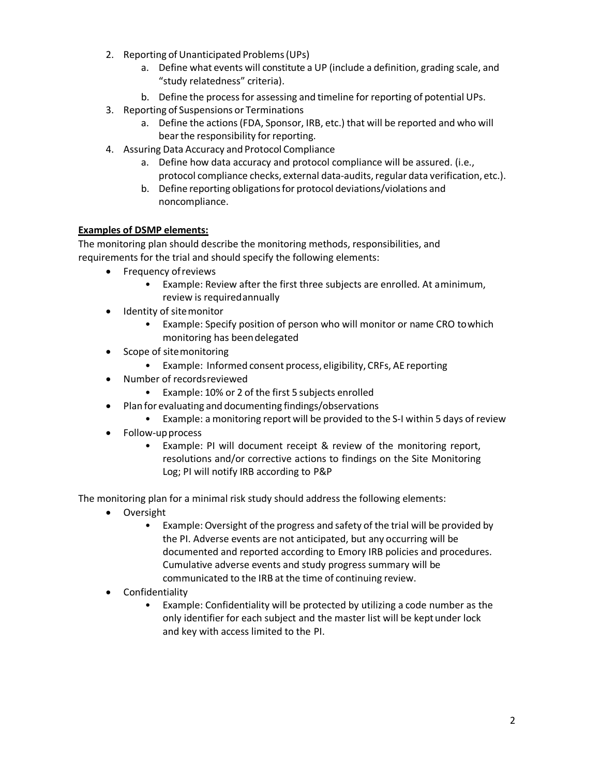- 2. Reporting of Unanticipated Problems (UPs)
	- a. Define what events will constitute a UP (include a definition, grading scale, and "study relatedness" criteria).
	- b. Define the process for assessing and timeline for reporting of potential UPs.
- 3. Reporting of Suspensions or Terminations
	- a. Define the actions(FDA, Sponsor, IRB, etc.) that will be reported and who will bear the responsibility for reporting.
- 4. Assuring Data Accuracy and Protocol Compliance
	- a. Define how data accuracy and protocol compliance will be assured. (i.e., protocol compliance checks, external data-audits,regular data verification, etc.).
	- b. Define reporting obligations for protocol deviations/violations and noncompliance.

# <span id="page-1-0"></span>**Examples of DSMP elements:**

The monitoring plan should describe the monitoring methods, responsibilities, and requirements for the trial and should specify the following elements:

- Frequency of reviews
	- Example: Review after the first three subjects are enrolled. At aminimum, review is requiredannually
- Identity of site monitor
	- Example: Specify position of person who will monitor or name CRO towhich monitoring has beendelegated
- Scope of sitemonitoring
	- Example: Informed consent process, eligibility, CRFs, AE reporting
- Number of recordsreviewed
	- Example: 10% or 2 of the first 5 subjects enrolled
- Plan for evaluating and documenting findings/observations
	- Example: a monitoring report will be provided to the S-I within 5 days of review
- Follow-up process
	- Example: PI will document receipt & review of the monitoring report, resolutions and/or corrective actions to findings on the Site Monitoring Log; PI will notify IRB according to P&P

The monitoring plan for a minimal risk study should address the following elements:

- Oversight
	- Example: Oversight of the progress and safety of the trial will be provided by the PI. Adverse events are not anticipated, but any occurring will be documented and reported according to Emory IRB policies and procedures. Cumulative adverse events and study progress summary will be communicated to the IRB at the time of continuing review.
- Confidentiality
	- Example: Confidentiality will be protected by utilizing a code number as the only identifier for each subject and the master list will be keptunder lock and key with access limited to the PI.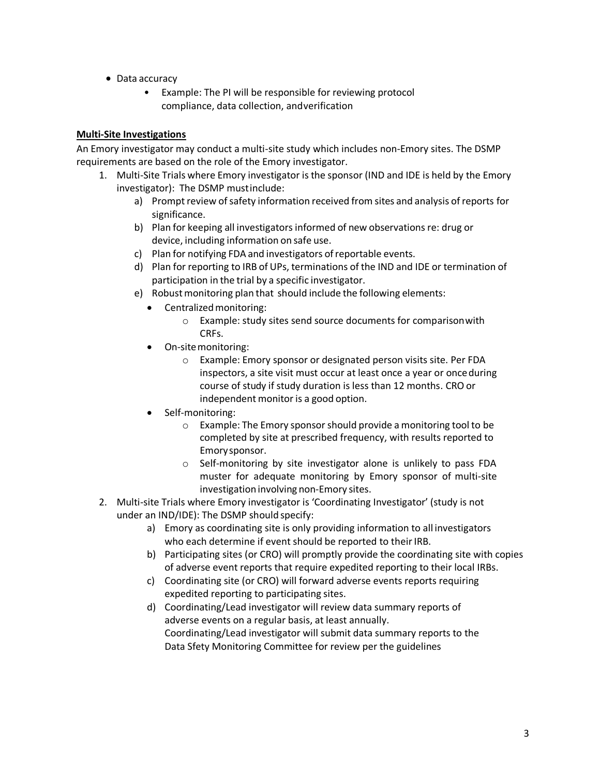- Data accuracy
	- Example: The PI will be responsible for reviewing protocol compliance, data collection, andverification

# **Multi-Site Investigations**

An Emory investigator may conduct a multi-site study which includes non-Emory sites. The DSMP requirements are based on the role of the Emory investigator.

- 1. Multi-Site Trials where Emory investigator is the sponsor (IND and IDE is held by the Emory investigator): The DSMP mustinclude:
	- a) Prompt review of safety information received from sites and analysis of reports for significance.
	- b) Plan for keeping all investigators informed of new observations re: drug or device, including information on safe use.
	- c) Plan for notifying FDA and investigators ofreportable events.
	- d) Plan for reporting to IRB of UPs, terminations of the IND and IDE or termination of participation in the trial by a specific investigator.
	- e) Robust monitoring plan that should include the following elements:
		- Centralized monitoring:
			- o Example: study sites send source documents for comparisonwith CRFs.
		- On-sitemonitoring:
			- o Example: Emory sponsor or designated person visits site. Per FDA inspectors, a site visit must occur at least once a year or onceduring course of study if study duration is less than 12 months. CRO or independent monitor is a good option.
		- Self-monitoring:
			- o Example: The Emory sponsorshould provide a monitoring tool to be completed by site at prescribed frequency, with results reported to Emorysponsor.
			- o Self-monitoring by site investigator alone is unlikely to pass FDA muster for adequate monitoring by Emory sponsor of multi-site investigation involving non-Emory sites.
- 2. Multi-site Trials where Emory investigator is 'Coordinating Investigator' (study is not under an IND/IDE): The DSMP should specify:
	- a) Emory as coordinating site is only providing information to all investigators who each determine if event should be reported to their IRB.
	- b) Participating sites (or CRO) will promptly provide the coordinating site with copies of adverse event reports that require expedited reporting to their local IRBs.
	- c) Coordinating site (or CRO) will forward adverse events reports requiring expedited reporting to participating sites.
	- d) Coordinating/Lead investigator will review data summary reports of adverse events on a regular basis, at least annually. Coordinating/Lead investigator will submit data summary reports to the Data Sfety Monitoring Committee for review per the guidelines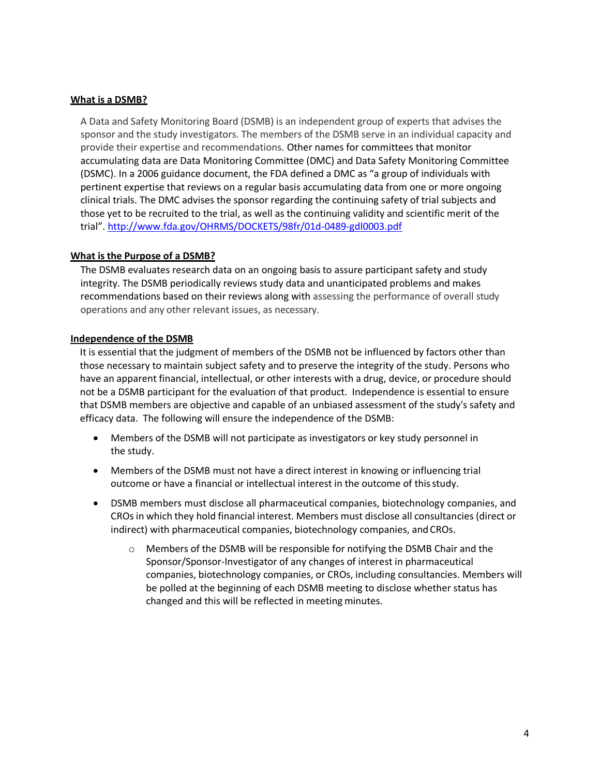## <span id="page-3-0"></span>**What is a DSMB?**

A Data and Safety Monitoring Board (DSMB) is an independent group of experts that advises the sponsor and the study investigators. The members of the DSMB serve in an individual capacity and provide their expertise and recommendations. Other names for committees that monitor accumulating data are Data Monitoring Committee (DMC) and Data Safety Monitoring Committee (DSMC). In a 2006 guidance document, the FDA defined a DMC as "a group of individuals with pertinent expertise that reviews on a regular basis accumulating data from one or more ongoing clinical trials. The DMC advises the sponsor regarding the continuing safety of trial subjects and those yet to be recruited to the trial, as well as the continuing validity and scientific merit of the trial". <http://www.fda.gov/OHRMS/DOCKETS/98fr/01d-0489-gdl0003.pdf>

# <span id="page-3-1"></span>**What is the Purpose of a DSMB?**

The DSMB evaluates research data on an ongoing basis to assure participant safety and study integrity. The DSMB periodically reviews study data and unanticipated problems and makes recommendations based on their reviews along with assessing the performance of overall study operations and any other relevant issues, as necessary.

#### <span id="page-3-2"></span>**Independence of the DSMB**

It is essential that the judgment of members of the DSMB not be influenced by factors other than those necessary to maintain subject safety and to preserve the integrity of the study. Persons who have an apparent financial, intellectual, or other interests with a drug, device, or procedure should not be a DSMB participant for the evaluation of that product. Independence is essential to ensure that DSMB members are objective and capable of an unbiased assessment of the study's safety and efficacy data. The following will ensure the independence of the DSMB:

- Members of the DSMB will not participate as investigators or key study personnel in the study.
- Members of the DSMB must not have a direct interest in knowing or influencing trial outcome or have a financial or intellectual interest in the outcome of thisstudy.
- <span id="page-3-3"></span> DSMB members must disclose all pharmaceutical companies, biotechnology companies, and CROs in which they hold financial interest. Members must disclose all consultancies (direct or indirect) with pharmaceutical companies, biotechnology companies, and CROs.
	- $\circ$  Members of the DSMB will be responsible for notifying the DSMB Chair and the Sponsor/Sponsor-Investigator of any changes of interest in pharmaceutical companies, biotechnology companies, or CROs, including consultancies. Members will be polled at the beginning of each DSMB meeting to disclose whether status has changed and this will be reflected in meeting minutes.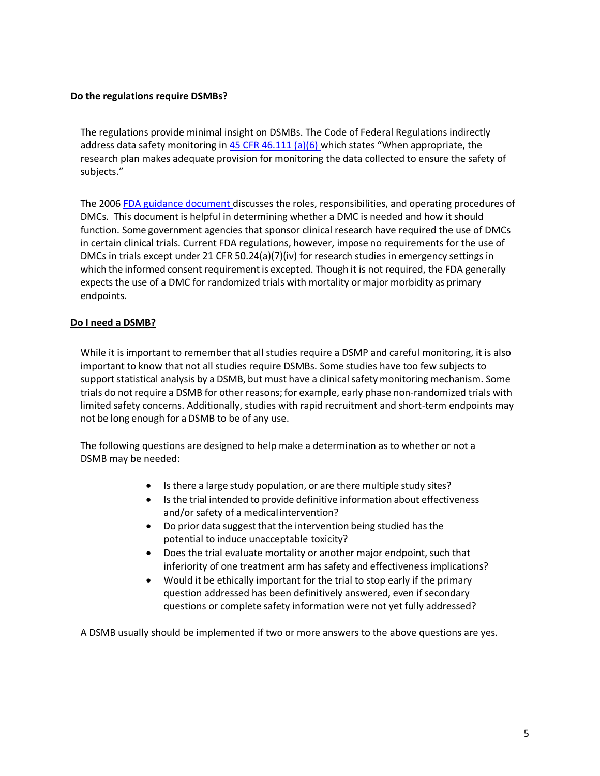## **Do the regulations require DSMBs?**

The regulations provide minimal insight on DSMBs. The Code of Federal Regulations indirectly address data safety monitoring in  $45$  CFR  $46.111$  (a)(6) which states "When appropriate, the research plan makes adequate provision for monitoring the data collected to ensure the safety of subjects."

The 2006 [FDA guidance document d](http://www.fda.gov/OHRMS/DOCKETS/98fr/01d-0489-gdl0003.pdf)iscusses the roles, responsibilities, and operating procedures of DMCs. This document is helpful in determining whether a DMC is needed and how it should function. Some government agencies that sponsor clinical research have required the use of DMCs in certain clinical trials. Current FDA regulations, however, impose no requirements for the use of DMCs in trials except under 21 CFR 50.24(a)(7)(iv) for research studies in emergency settings in which the informed consent requirement is excepted. Though it is not required, the FDA generally expects the use of a DMC for randomized trials with mortality or major morbidity as primary endpoints.

# <span id="page-4-0"></span>**Do I need a DSMB?**

While it is important to remember that all studies require a DSMP and careful monitoring, it is also important to know that not all studies require DSMBs. Some studies have too few subjects to support statistical analysis by a DSMB, but must have a clinical safety monitoring mechanism. Some trials do notrequire a DSMB for other reasons; for example, early phase non-randomized trials with limited safety concerns. Additionally, studies with rapid recruitment and short-term endpoints may not be long enough for a DSMB to be of any use.

The following questions are designed to help make a determination as to whether or not a DSMB may be needed:

- Is there a large study population, or are there multiple study sites?
- Is the trial intended to provide definitive information about effectiveness and/or safety of a medicalintervention?
- Do prior data suggest that the intervention being studied has the potential to induce unacceptable toxicity?
- Does the trial evaluate mortality or another major endpoint, such that inferiority of one treatment arm has safety and effectiveness implications?
- Would it be ethically important for the trial to stop early if the primary question addressed has been definitively answered, even if secondary questions or complete safety information were not yet fully addressed?

<span id="page-4-1"></span>A DSMB usually should be implemented if two or more answers to the above questions are yes.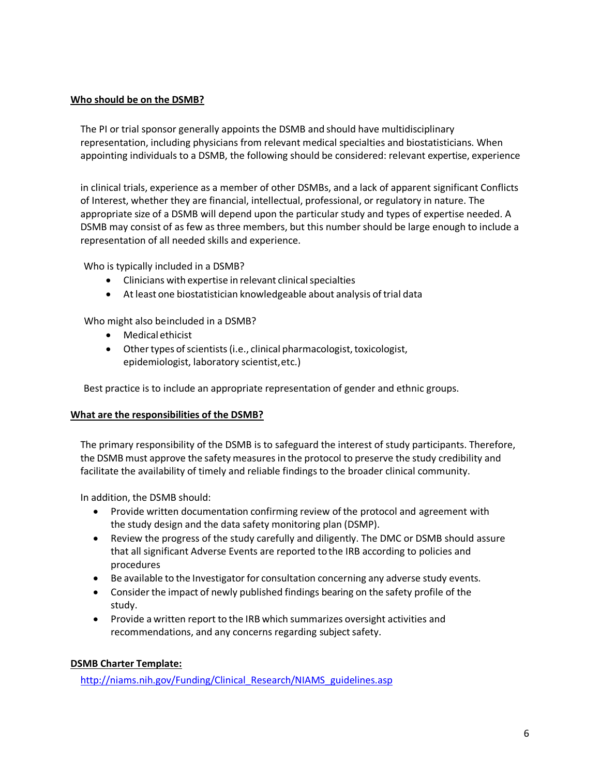# **Who should be on the DSMB?**

The PI or trial sponsor generally appoints the DSMB and should have multidisciplinary representation, including physicians from relevant medical specialties and biostatisticians. When appointing individuals to a DSMB, the following should be considered: relevant expertise, experience

in clinical trials, experience as a member of other DSMBs, and a lack of apparent significant Conflicts of Interest, whether they are financial, intellectual, professional, or regulatory in nature. The appropriate size of a DSMB will depend upon the particular study and types of expertise needed. A DSMB may consist of as few as three members, but this number should be large enough to include a representation of all needed skills and experience.

Who is typically included in a DSMB?

- Clinicians with expertise in relevant clinical specialties
- At least one biostatistician knowledgeable about analysis of trial data

Who might also beincluded in a DSMB?

- Medical ethicist
- $\bullet$  Other types of scientists (i.e., clinical pharmacologist, toxicologist, epidemiologist, laboratory scientist,etc.)

Best practice is to include an appropriate representation of gender and ethnic groups.

#### <span id="page-5-0"></span>**What are the responsibilities of the DSMB?**

The primary responsibility of the DSMB is to safeguard the interest of study participants. Therefore, the DSMB must approve the safety measures in the protocol to preserve the study credibility and facilitate the availability of timely and reliable findings to the broader clinical community.

In addition, the DSMB should:

- Provide written documentation confirming review of the protocol and agreement with the study design and the data safety monitoring plan (DSMP).
- Review the progress of the study carefully and diligently. The DMC or DSMB should assure that all significant Adverse Events are reported tothe IRB according to policies and procedures
- Be available to the Investigator for consultation concerning any adverse study events.
- Consider the impact of newly published findings bearing on the safety profile of the study.
- Provide a written report to the IRB which summarizes oversight activities and recommendations, and any concerns regarding subject safety.

#### <span id="page-5-1"></span>**DSMB Charter Template:**

[http://niams.nih.gov/Funding/Clinical\\_Research/NIAMS\\_guidelines.asp](http://niams.nih.gov/Funding/Clinical_Research/NIAMS_guidelines.asp)